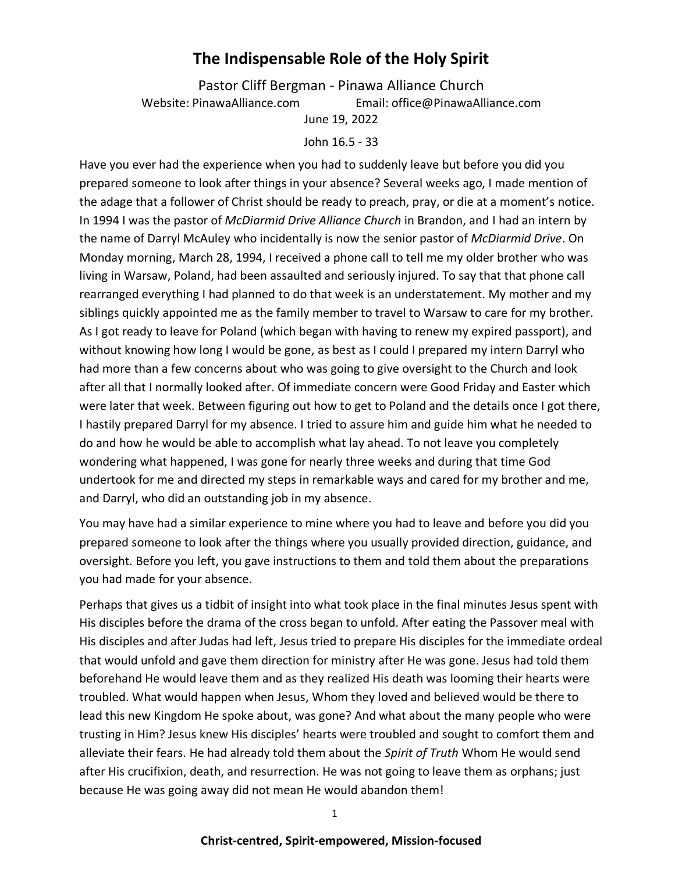# **The Indispensable Role of the Holy Spirit**

Pastor Cliff Bergman - Pinawa Alliance Church Website: PinawaAlliance.com Email: office@PinawaAlliance.com June 19, 2022

#### John 16.5 - 33

Have you ever had the experience when you had to suddenly leave but before you did you prepared someone to look after things in your absence? Several weeks ago, I made mention of the adage that a follower of Christ should be ready to preach, pray, or die at a moment's notice. In 1994 I was the pastor of *McDiarmid Drive Alliance Church* in Brandon, and I had an intern by the name of Darryl McAuley who incidentally is now the senior pastor of *McDiarmid Drive*. On Monday morning, March 28, 1994, I received a phone call to tell me my older brother who was living in Warsaw, Poland, had been assaulted and seriously injured. To say that that phone call rearranged everything I had planned to do that week is an understatement. My mother and my siblings quickly appointed me as the family member to travel to Warsaw to care for my brother. As I got ready to leave for Poland (which began with having to renew my expired passport), and without knowing how long I would be gone, as best as I could I prepared my intern Darryl who had more than a few concerns about who was going to give oversight to the Church and look after all that I normally looked after. Of immediate concern were Good Friday and Easter which were later that week. Between figuring out how to get to Poland and the details once I got there, I hastily prepared Darryl for my absence. I tried to assure him and guide him what he needed to do and how he would be able to accomplish what lay ahead. To not leave you completely wondering what happened, I was gone for nearly three weeks and during that time God undertook for me and directed my steps in remarkable ways and cared for my brother and me, and Darryl, who did an outstanding job in my absence.

You may have had a similar experience to mine where you had to leave and before you did you prepared someone to look after the things where you usually provided direction, guidance, and oversight. Before you left, you gave instructions to them and told them about the preparations you had made for your absence.

Perhaps that gives us a tidbit of insight into what took place in the final minutes Jesus spent with His disciples before the drama of the cross began to unfold. After eating the Passover meal with His disciples and after Judas had left, Jesus tried to prepare His disciples for the immediate ordeal that would unfold and gave them direction for ministry after He was gone. Jesus had told them beforehand He would leave them and as they realized His death was looming their hearts were troubled. What would happen when Jesus, Whom they loved and believed would be there to lead this new Kingdom He spoke about, was gone? And what about the many people who were trusting in Him? Jesus knew His disciples' hearts were troubled and sought to comfort them and alleviate their fears. He had already told them about the *Spirit of Truth* Whom He would send after His crucifixion, death, and resurrection. He was not going to leave them as orphans; just because He was going away did not mean He would abandon them!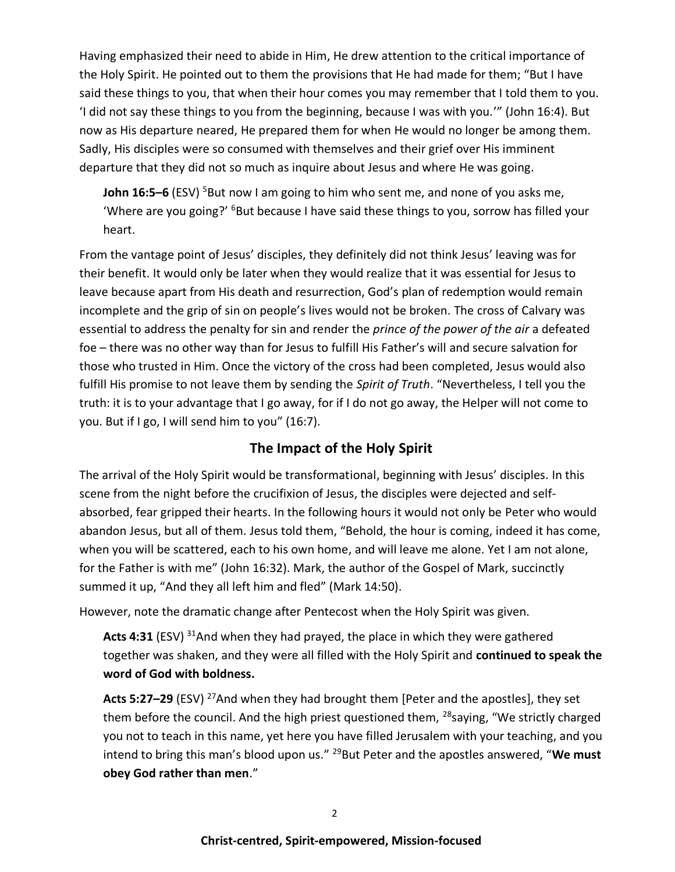Having emphasized their need to abide in Him, He drew attention to the critical importance of the Holy Spirit. He pointed out to them the provisions that He had made for them; "But I have said these things to you, that when their hour comes you may remember that I told them to you. 'I did not say these things to you from the beginning, because I was with you.'" (John 16:4). But now as His departure neared, He prepared them for when He would no longer be among them. Sadly, His disciples were so consumed with themselves and their grief over His imminent departure that they did not so much as inquire about Jesus and where He was going.

**John 16:5–6** (ESV) <sup>5</sup>But now I am going to him who sent me, and none of you asks me, 'Where are you going?' <sup>6</sup>But because I have said these things to you, sorrow has filled your heart.

From the vantage point of Jesus' disciples, they definitely did not think Jesus' leaving was for their benefit. It would only be later when they would realize that it was essential for Jesus to leave because apart from His death and resurrection, God's plan of redemption would remain incomplete and the grip of sin on people's lives would not be broken. The cross of Calvary was essential to address the penalty for sin and render the *prince of the power of the air* a defeated foe – there was no other way than for Jesus to fulfill His Father's will and secure salvation for those who trusted in Him. Once the victory of the cross had been completed, Jesus would also fulfill His promise to not leave them by sending the *Spirit of Truth*. "Nevertheless, I tell you the truth: it is to your advantage that I go away, for if I do not go away, the Helper will not come to you. But if I go, I will send him to you" (16:7).

### **The Impact of the Holy Spirit**

The arrival of the Holy Spirit would be transformational, beginning with Jesus' disciples. In this scene from the night before the crucifixion of Jesus, the disciples were dejected and selfabsorbed, fear gripped their hearts. In the following hours it would not only be Peter who would abandon Jesus, but all of them. Jesus told them, "Behold, the hour is coming, indeed it has come, when you will be scattered, each to his own home, and will leave me alone. Yet I am not alone, for the Father is with me" (John 16:32). Mark, the author of the Gospel of Mark, succinctly summed it up, "And they all left him and fled" (Mark 14:50).

However, note the dramatic change after Pentecost when the Holy Spirit was given.

Acts 4:31 (ESV) <sup>31</sup>And when they had prayed, the place in which they were gathered together was shaken, and they were all filled with the Holy Spirit and **continued to speak the word of God with boldness.**

**Acts 5:27–29** (ESV) <sup>27</sup>And when they had brought them [Peter and the apostles], they set them before the council. And the high priest questioned them,  $^{28}$ saying, "We strictly charged you not to teach in this name, yet here you have filled Jerusalem with your teaching, and you intend to bring this man's blood upon us."<sup>29</sup>But Peter and the apostles answered, "We must **obey God rather than men**."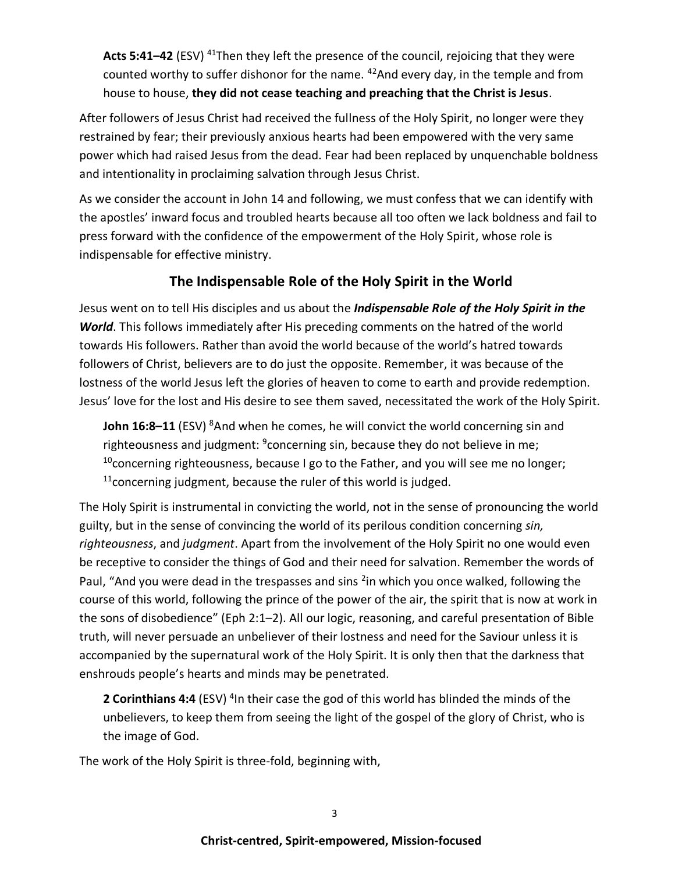**Acts 5:41–42** (ESV) <sup>41</sup>Then they left the presence of the council, rejoicing that they were counted worthy to suffer dishonor for the name.  $42$ And every day, in the temple and from house to house, **they did not cease teaching and preaching that the Christ is Jesus**.

After followers of Jesus Christ had received the fullness of the Holy Spirit, no longer were they restrained by fear; their previously anxious hearts had been empowered with the very same power which had raised Jesus from the dead. Fear had been replaced by unquenchable boldness and intentionality in proclaiming salvation through Jesus Christ.

As we consider the account in John 14 and following, we must confess that we can identify with the apostles' inward focus and troubled hearts because all too often we lack boldness and fail to press forward with the confidence of the empowerment of the Holy Spirit, whose role is indispensable for effective ministry.

## **The Indispensable Role of the Holy Spirit in the World**

Jesus went on to tell His disciples and us about the *Indispensable Role of the Holy Spirit in the World*. This follows immediately after His preceding comments on the hatred of the world towards His followers. Rather than avoid the world because of the world's hatred towards followers of Christ, believers are to do just the opposite. Remember, it was because of the lostness of the world Jesus left the glories of heaven to come to earth and provide redemption. Jesus' love for the lost and His desire to see them saved, necessitated the work of the Holy Spirit.

**John 16:8–11** (ESV) <sup>8</sup>And when he comes, he will convict the world concerning sin and righteousness and judgment: <sup>9</sup>concerning sin, because they do not believe in me;  $10$ concerning righteousness, because I go to the Father, and you will see me no longer;  $11$ concerning judgment, because the ruler of this world is judged.

The Holy Spirit is instrumental in convicting the world, not in the sense of pronouncing the world guilty, but in the sense of convincing the world of its perilous condition concerning *sin, righteousness*, and *judgment*. Apart from the involvement of the Holy Spirit no one would even be receptive to consider the things of God and their need for salvation. Remember the words of Paul, "And you were dead in the trespasses and sins <sup>2</sup>in which you once walked, following the course of this world, following the prince of the power of the air, the spirit that is now at work in the sons of disobedience" (Eph 2:1–2). All our logic, reasoning, and careful presentation of Bible truth, will never persuade an unbeliever of their lostness and need for the Saviour unless it is accompanied by the supernatural work of the Holy Spirit. It is only then that the darkness that enshrouds people's hearts and minds may be penetrated.

2 Corinthians 4:4 (ESV)<sup>4</sup>In their case the god of this world has blinded the minds of the unbelievers, to keep them from seeing the light of the gospel of the glory of Christ, who is the image of God.

The work of the Holy Spirit is three-fold, beginning with,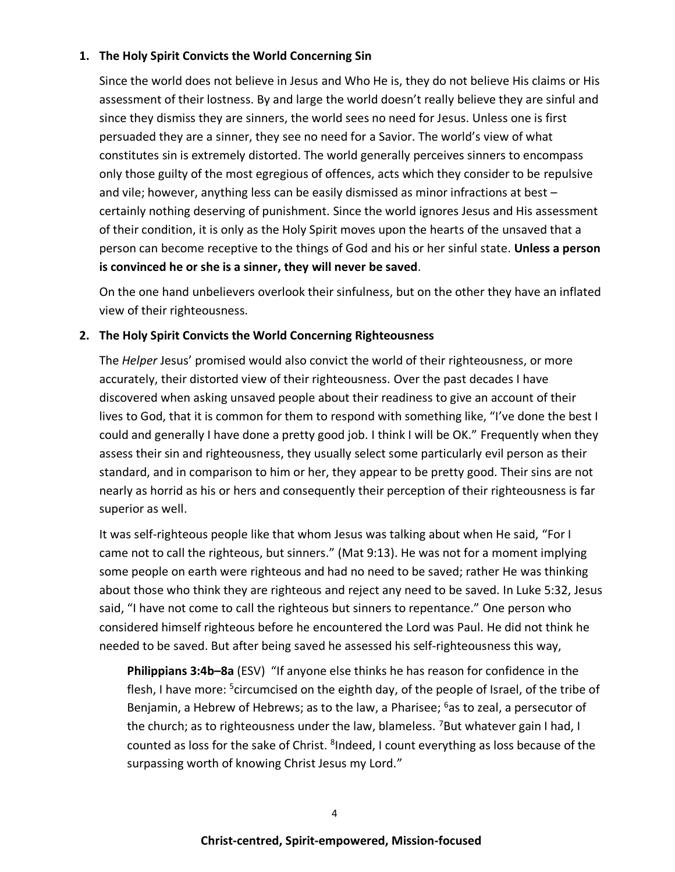#### **1. The Holy Spirit Convicts the World Concerning Sin**

Since the world does not believe in Jesus and Who He is, they do not believe His claims or His assessment of their lostness. By and large the world doesn't really believe they are sinful and since they dismiss they are sinners, the world sees no need for Jesus. Unless one is first persuaded they are a sinner, they see no need for a Savior. The world's view of what constitutes sin is extremely distorted. The world generally perceives sinners to encompass only those guilty of the most egregious of offences, acts which they consider to be repulsive and vile; however, anything less can be easily dismissed as minor infractions at best – certainly nothing deserving of punishment. Since the world ignores Jesus and His assessment of their condition, it is only as the Holy Spirit moves upon the hearts of the unsaved that a person can become receptive to the things of God and his or her sinful state. **Unless a person is convinced he or she is a sinner, they will never be saved**.

On the one hand unbelievers overlook their sinfulness, but on the other they have an inflated view of their righteousness.

#### **2. The Holy Spirit Convicts the World Concerning Righteousness**

The *Helper* Jesus' promised would also convict the world of their righteousness, or more accurately, their distorted view of their righteousness. Over the past decades I have discovered when asking unsaved people about their readiness to give an account of their lives to God, that it is common for them to respond with something like, "I've done the best I could and generally I have done a pretty good job. I think I will be OK." Frequently when they assess their sin and righteousness, they usually select some particularly evil person as their standard, and in comparison to him or her, they appear to be pretty good. Their sins are not nearly as horrid as his or hers and consequently their perception of their righteousness is far superior as well.

It was self-righteous people like that whom Jesus was talking about when He said, "For I came not to call the righteous, but sinners." (Mat 9:13). He was not for a moment implying some people on earth were righteous and had no need to be saved; rather He was thinking about those who think they are righteous and reject any need to be saved. In Luke 5:32, Jesus said, "I have not come to call the righteous but sinners to repentance." One person who considered himself righteous before he encountered the Lord was Paul. He did not think he needed to be saved. But after being saved he assessed his self-righteousness this way,

**Philippians 3:4b–8a** (ESV) "If anyone else thinks he has reason for confidence in the flesh, I have more: <sup>5</sup>circumcised on the eighth day, of the people of Israel, of the tribe of Benjamin, a Hebrew of Hebrews; as to the law, a Pharisee;  $6a$ s to zeal, a persecutor of the church; as to righteousness under the law, blameless. <sup>7</sup>But whatever gain I had. I counted as loss for the sake of Christ. <sup>8</sup>Indeed, I count everything as loss because of the surpassing worth of knowing Christ Jesus my Lord."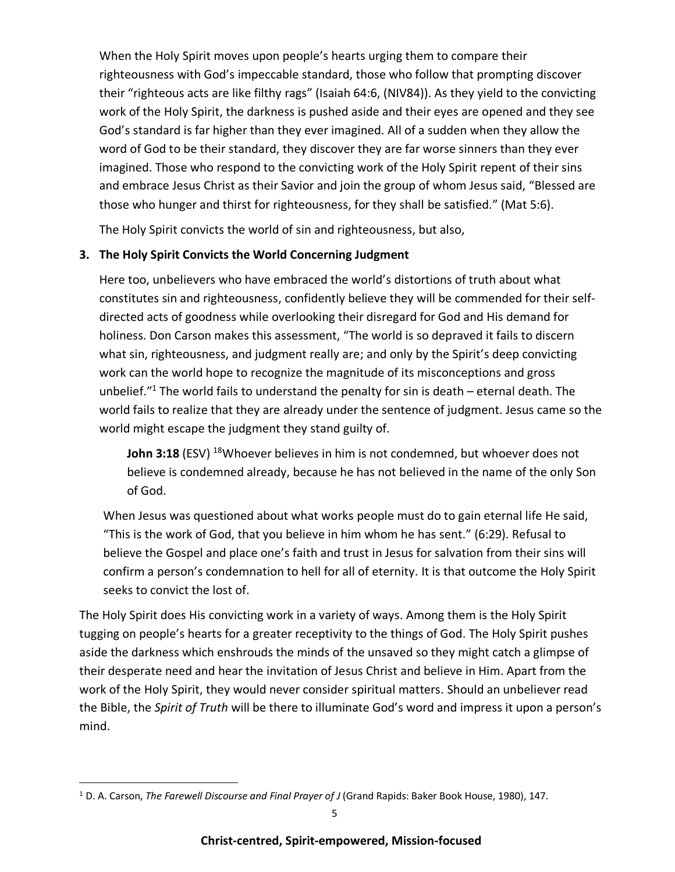When the Holy Spirit moves upon people's hearts urging them to compare their righteousness with God's impeccable standard, those who follow that prompting discover their "righteous acts are like filthy rags" (Isaiah 64:6, (NIV84)). As they yield to the convicting work of the Holy Spirit, the darkness is pushed aside and their eyes are opened and they see God's standard is far higher than they ever imagined. All of a sudden when they allow the word of God to be their standard, they discover they are far worse sinners than they ever imagined. Those who respond to the convicting work of the Holy Spirit repent of their sins and embrace Jesus Christ as their Savior and join the group of whom Jesus said, "Blessed are those who hunger and thirst for righteousness, for they shall be satisfied." (Mat 5:6).

The Holy Spirit convicts the world of sin and righteousness, but also,

### **3. The Holy Spirit Convicts the World Concerning Judgment**

Here too, unbelievers who have embraced the world's distortions of truth about what constitutes sin and righteousness, confidently believe they will be commended for their selfdirected acts of goodness while overlooking their disregard for God and His demand for holiness. Don Carson makes this assessment, "The world is so depraved it fails to discern what sin, righteousness, and judgment really are; and only by the Spirit's deep convicting work can the world hope to recognize the magnitude of its misconceptions and gross unbelief. $1$ <sup>1</sup> The world fails to understand the penalty for sin is death – eternal death. The world fails to realize that they are already under the sentence of judgment. Jesus came so the world might escape the judgment they stand guilty of.

**John 3:18** (ESV) <sup>18</sup>Whoever believes in him is not condemned, but whoever does not believe is condemned already, because he has not believed in the name of the only Son of God.

When Jesus was questioned about what works people must do to gain eternal life He said, "This is the work of God, that you believe in him whom he has sent." (6:29). Refusal to believe the Gospel and place one's faith and trust in Jesus for salvation from their sins will confirm a person's condemnation to hell for all of eternity. It is that outcome the Holy Spirit seeks to convict the lost of.

The Holy Spirit does His convicting work in a variety of ways. Among them is the Holy Spirit tugging on people's hearts for a greater receptivity to the things of God. The Holy Spirit pushes aside the darkness which enshrouds the minds of the unsaved so they might catch a glimpse of their desperate need and hear the invitation of Jesus Christ and believe in Him. Apart from the work of the Holy Spirit, they would never consider spiritual matters. Should an unbeliever read the Bible, the *Spirit of Truth* will be there to illuminate God's word and impress it upon a person's mind.

<sup>1</sup> D. A. Carson, *The Farewell Discourse and Final Prayer of J* (Grand Rapids: Baker Book House, 1980), 147.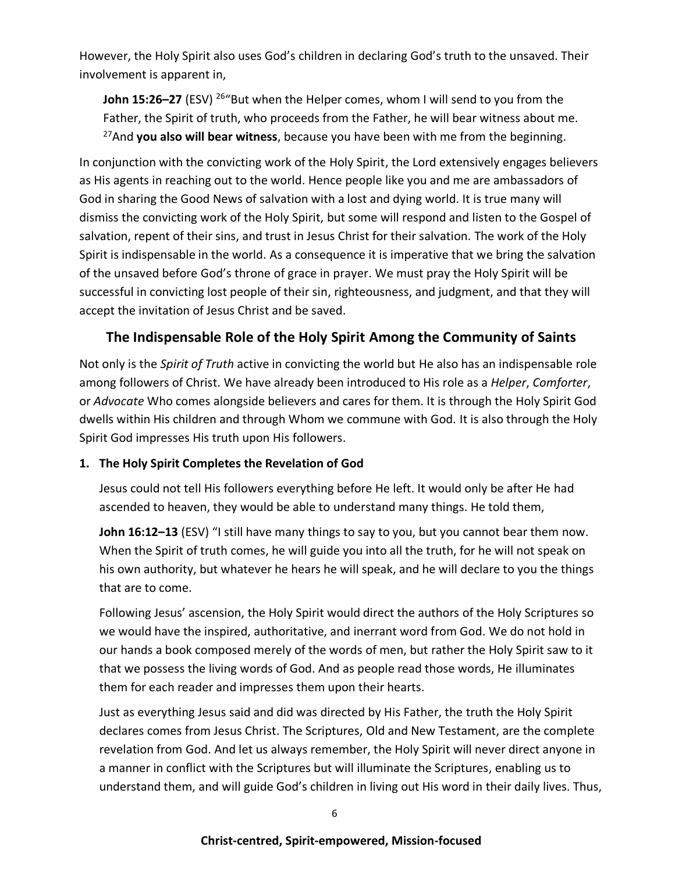However, the Holy Spirit also uses God's children in declaring God's truth to the unsaved. Their involvement is apparent in,

**John 15:26–27** (ESV) <sup>26</sup> "But when the Helper comes, whom I will send to you from the Father, the Spirit of truth, who proceeds from the Father, he will bear witness about me. <sup>27</sup>And **you also will bear witness**, because you have been with me from the beginning.

In conjunction with the convicting work of the Holy Spirit, the Lord extensively engages believers as His agents in reaching out to the world. Hence people like you and me are ambassadors of God in sharing the Good News of salvation with a lost and dying world. It is true many will dismiss the convicting work of the Holy Spirit, but some will respond and listen to the Gospel of salvation, repent of their sins, and trust in Jesus Christ for their salvation. The work of the Holy Spirit is indispensable in the world. As a consequence it is imperative that we bring the salvation of the unsaved before God's throne of grace in prayer. We must pray the Holy Spirit will be successful in convicting lost people of their sin, righteousness, and judgment, and that they will accept the invitation of Jesus Christ and be saved.

## **The Indispensable Role of the Holy Spirit Among the Community of Saints**

Not only is the *Spirit of Truth* active in convicting the world but He also has an indispensable role among followers of Christ. We have already been introduced to His role as a *Helper*, *Comforter*, or *Advocate* Who comes alongside believers and cares for them. It is through the Holy Spirit God dwells within His children and through Whom we commune with God. It is also through the Holy Spirit God impresses His truth upon His followers.

### **1. The Holy Spirit Completes the Revelation of God**

Jesus could not tell His followers everything before He left. It would only be after He had ascended to heaven, they would be able to understand many things. He told them,

**John 16:12–13** (ESV) "I still have many things to say to you, but you cannot bear them now. When the Spirit of truth comes, he will guide you into all the truth, for he will not speak on his own authority, but whatever he hears he will speak, and he will declare to you the things that are to come.

Following Jesus' ascension, the Holy Spirit would direct the authors of the Holy Scriptures so we would have the inspired, authoritative, and inerrant word from God. We do not hold in our hands a book composed merely of the words of men, but rather the Holy Spirit saw to it that we possess the living words of God. And as people read those words, He illuminates them for each reader and impresses them upon their hearts.

Just as everything Jesus said and did was directed by His Father, the truth the Holy Spirit declares comes from Jesus Christ. The Scriptures, Old and New Testament, are the complete revelation from God. And let us always remember, the Holy Spirit will never direct anyone in a manner in conflict with the Scriptures but will illuminate the Scriptures, enabling us to understand them, and will guide God's children in living out His word in their daily lives. Thus,